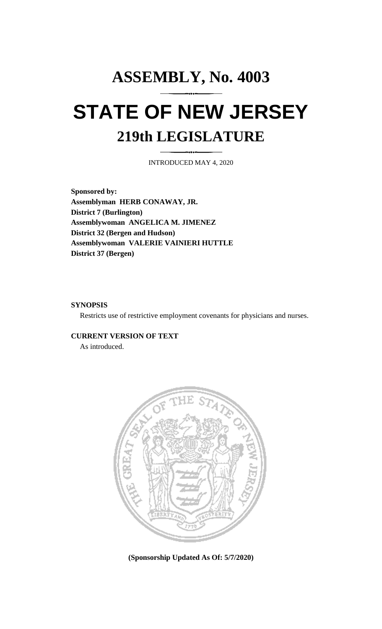## **ASSEMBLY, No. 4003 STATE OF NEW JERSEY 219th LEGISLATURE**

INTRODUCED MAY 4, 2020

**Sponsored by: Assemblyman HERB CONAWAY, JR. District 7 (Burlington) Assemblywoman ANGELICA M. JIMENEZ District 32 (Bergen and Hudson) Assemblywoman VALERIE VAINIERI HUTTLE District 37 (Bergen)**

## **SYNOPSIS**

Restricts use of restrictive employment covenants for physicians and nurses.

## **CURRENT VERSION OF TEXT**

As introduced.



**(Sponsorship Updated As Of: 5/7/2020)**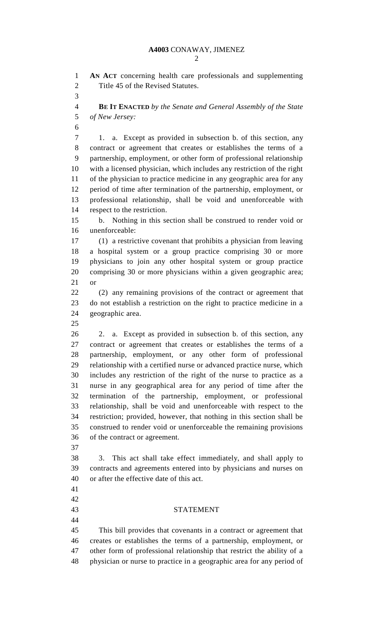**AN ACT** concerning health care professionals and supplementing Title 45 of the Revised Statutes. **BE IT ENACTED** *by the Senate and General Assembly of the State of New Jersey:* 1. a. Except as provided in subsection b. of this section, any contract or agreement that creates or establishes the terms of a partnership, employment, or other form of professional relationship with a licensed physician, which includes any restriction of the right of the physician to practice medicine in any geographic area for any period of time after termination of the partnership, employment, or professional relationship, shall be void and unenforceable with respect to the restriction. b. Nothing in this section shall be construed to render void or unenforceable: (1) a restrictive covenant that prohibits a physician from leaving a hospital system or a group practice comprising 30 or more physicians to join any other hospital system or group practice comprising 30 or more physicians within a given geographic area; or (2) any remaining provisions of the contract or agreement that do not establish a restriction on the right to practice medicine in a geographic area. 2. a. Except as provided in subsection b. of this section, any contract or agreement that creates or establishes the terms of a partnership, employment, or any other form of professional relationship with a certified nurse or advanced practice nurse, which includes any restriction of the right of the nurse to practice as a nurse in any geographical area for any period of time after the termination of the partnership, employment, or professional relationship, shall be void and unenforceable with respect to the restriction; provided, however, that nothing in this section shall be construed to render void or unenforceable the remaining provisions of the contract or agreement. 3. This act shall take effect immediately, and shall apply to contracts and agreements entered into by physicians and nurses on or after the effective date of this act. STATEMENT This bill provides that covenants in a contract or agreement that creates or establishes the terms of a partnership, employment, or other form of professional relationship that restrict the ability of a physician or nurse to practice in a geographic area for any period of